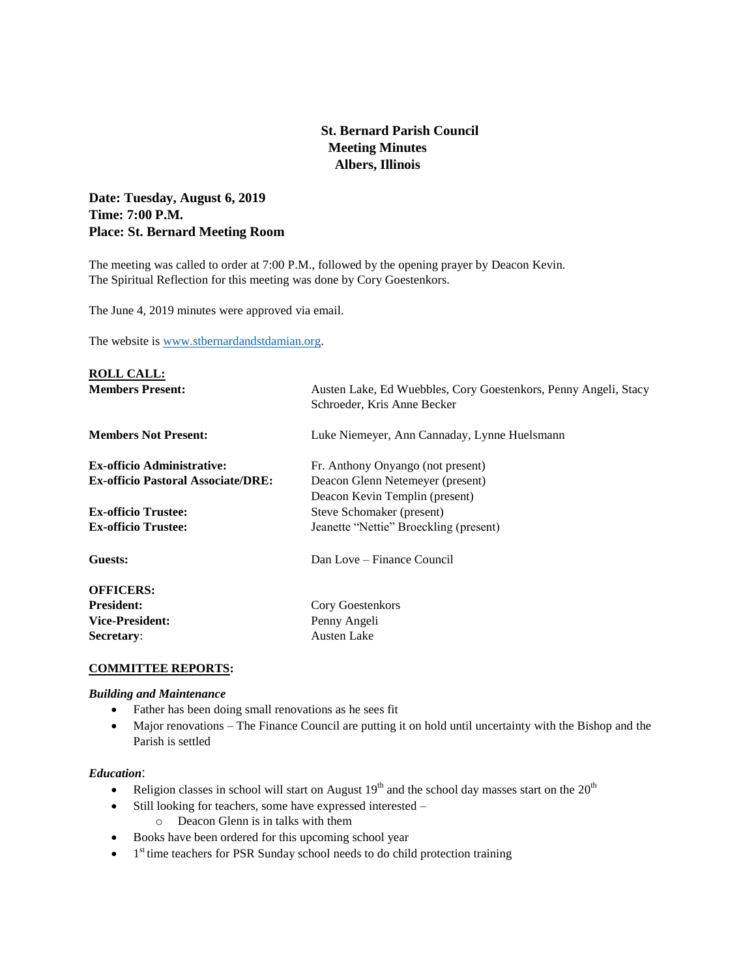# **St. Bernard Parish Council Meeting Minutes Albers, Illinois**

# **Date: Tuesday, August 6, 2019 Time: 7:00 P.M. Place: St. Bernard Meeting Room**

The meeting was called to order at 7:00 P.M., followed by the opening prayer by Deacon Kevin. The Spiritual Reflection for this meeting was done by Cory Goestenkors.

The June 4, 2019 minutes were approved via email.

The website is [www.stbernardandstdamian.org.](http://www.stbernardandstdamian.org/)

| <b>ROLL CALL:</b>                         |                                                                                                |
|-------------------------------------------|------------------------------------------------------------------------------------------------|
| <b>Members Present:</b>                   | Austen Lake, Ed Wuebbles, Cory Goestenkors, Penny Angeli, Stacy<br>Schroeder, Kris Anne Becker |
| <b>Members Not Present:</b>               | Luke Niemeyer, Ann Cannaday, Lynne Huelsmann                                                   |
| <b>Ex-officio Administrative:</b>         | Fr. Anthony Onyango (not present)                                                              |
| <b>Ex-officio Pastoral Associate/DRE:</b> | Deacon Glenn Netemeyer (present)                                                               |
|                                           | Deacon Kevin Templin (present)                                                                 |
| <b>Ex-officio Trustee:</b>                | Steve Schomaker (present)                                                                      |
| <b>Ex-officio Trustee:</b>                | Jeanette "Nettie" Broeckling (present)                                                         |
| Guests:                                   | Dan Love – Finance Council                                                                     |
| <b>OFFICERS:</b>                          |                                                                                                |
| <b>President:</b>                         | Cory Goestenkors                                                                               |
| <b>Vice-President:</b>                    | Penny Angeli                                                                                   |
| Secretary:                                | <b>Austen Lake</b>                                                                             |

# **COMMITTEE REPORTS:**

## *Building and Maintenance*

- Father has been doing small renovations as he sees fit
- Major renovations The Finance Council are putting it on hold until uncertainty with the Bishop and the Parish is settled

## *Education*:

- Religion classes in school will start on August  $19<sup>th</sup>$  and the school day masses start on the  $20<sup>th</sup>$
- Still looking for teachers, some have expressed interested
	- o Deacon Glenn is in talks with them
- Books have been ordered for this upcoming school year
- $\bullet$  1<sup>st</sup> time teachers for PSR Sunday school needs to do child protection training